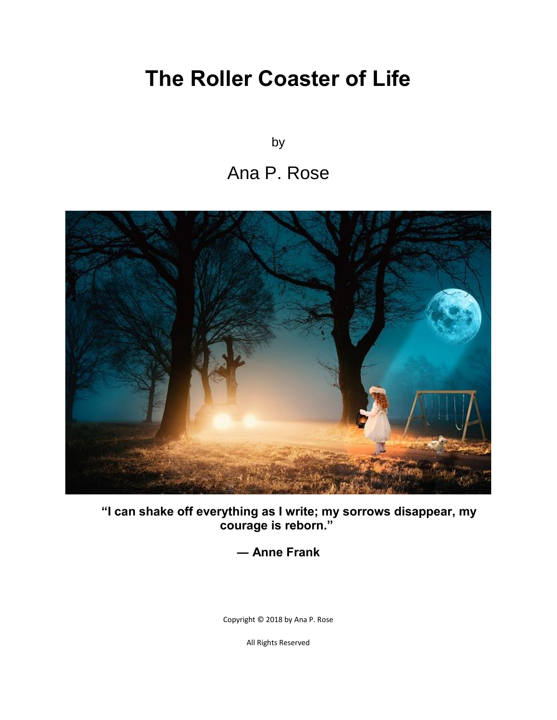# **The Roller Coaster of Life**

by

#### Ana P. Rose



**"I can shake off everything as I write; my sorrows disappear, my courage is reborn."**

**― Anne Frank**

Copyright © 2018 by Ana P. Rose

All Rights Reserved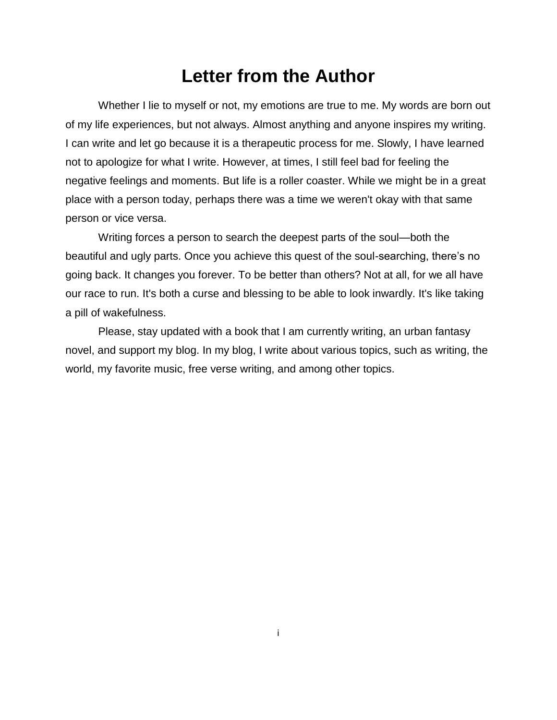#### **Letter from the Author**

Whether I lie to myself or not, my emotions are true to me. My words are born out of my life experiences, but not always. Almost anything and anyone inspires my writing. I can write and let go because it is a therapeutic process for me. Slowly, I have learned not to apologize for what I write. However, at times, I still feel bad for feeling the negative feelings and moments. But life is a roller coaster. While we might be in a great place with a person today, perhaps there was a time we weren't okay with that same person or vice versa.

Writing forces a person to search the deepest parts of the soul—both the beautiful and ugly parts. Once you achieve this quest of the soul-searching, there's no going back. It changes you forever. To be better than others? Not at all, for we all have our race to run. It's both a curse and blessing to be able to look inwardly. It's like taking a pill of wakefulness.

Please, stay updated with a book that I am currently writing, an urban fantasy novel, and support my blog. In my blog, I write about various topics, such as writing, the world, my favorite music, free verse writing, and among other topics.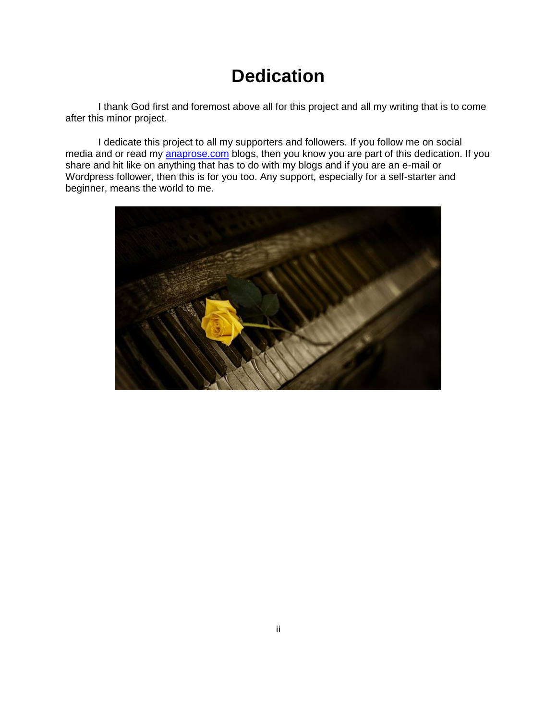### **Dedication**

I thank God first and foremost above all for this project and all my writing that is to come after this minor project.

I dedicate this project to all my supporters and followers. If you follow me on social media and or read my anaprose.com blogs, then you know you are part of this dedication. If you share and hit like on anything that has to do with my blogs and if you are an e-mail or Wordpress follower, then this is for you too. Any support, especially for a self-starter and beginner, means the world to me.

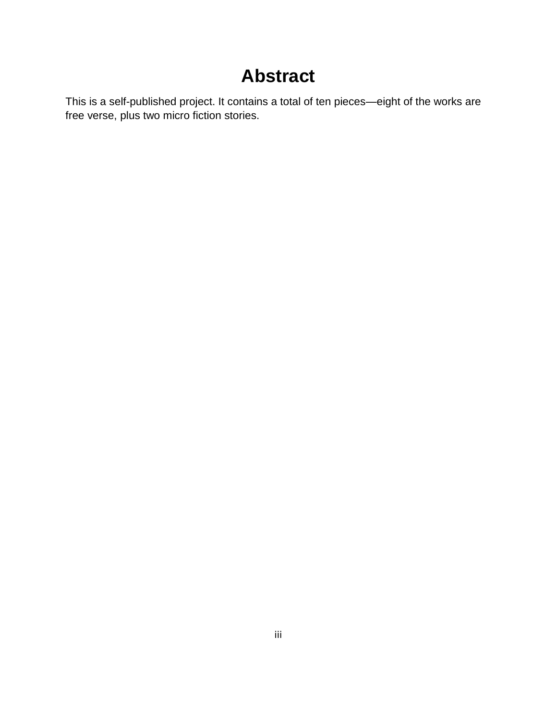### **Abstract**

This is a self-published project. It contains a total of ten pieces—eight of the works are free verse, plus two micro fiction stories.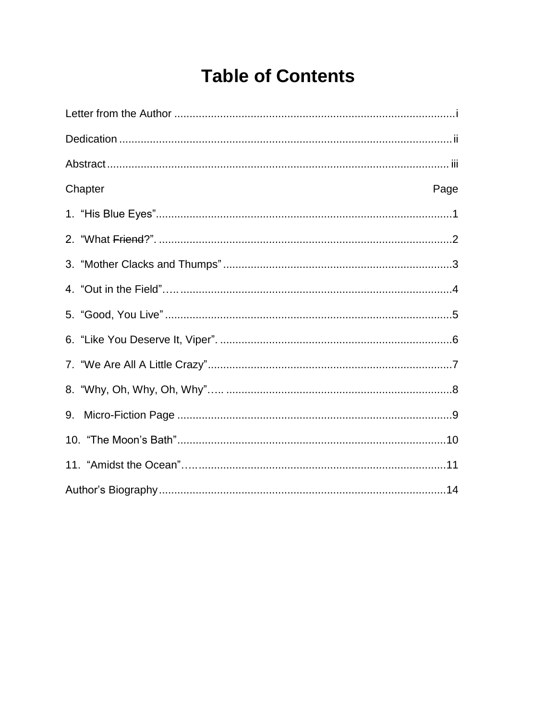## **Table of Contents**

| Chapter<br>Page |
|-----------------|
|                 |
|                 |
|                 |
|                 |
|                 |
|                 |
|                 |
|                 |
| 9.              |
|                 |
|                 |
|                 |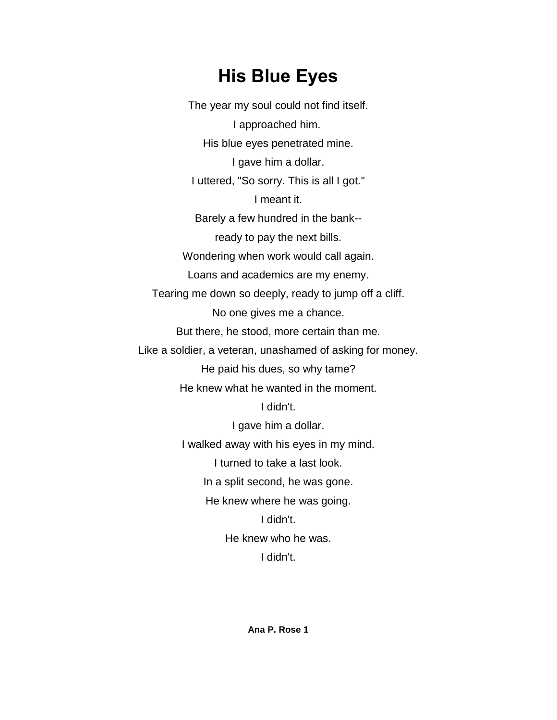### **His Blue Eyes**

The year my soul could not find itself. I approached him. His blue eyes penetrated mine. I gave him a dollar. I uttered, "So sorry. This is all I got." I meant it. Barely a few hundred in the bank- ready to pay the next bills. Wondering when work would call again. Loans and academics are my enemy. Tearing me down so deeply, ready to jump off a cliff. No one gives me a chance. But there, he stood, more certain than me. Like a soldier, a veteran, unashamed of asking for money. He paid his dues, so why tame? He knew what he wanted in the moment. I didn't. I gave him a dollar. I walked away with his eyes in my mind. I turned to take a last look. In a split second, he was gone. He knew where he was going. I didn't. He knew who he was. I didn't.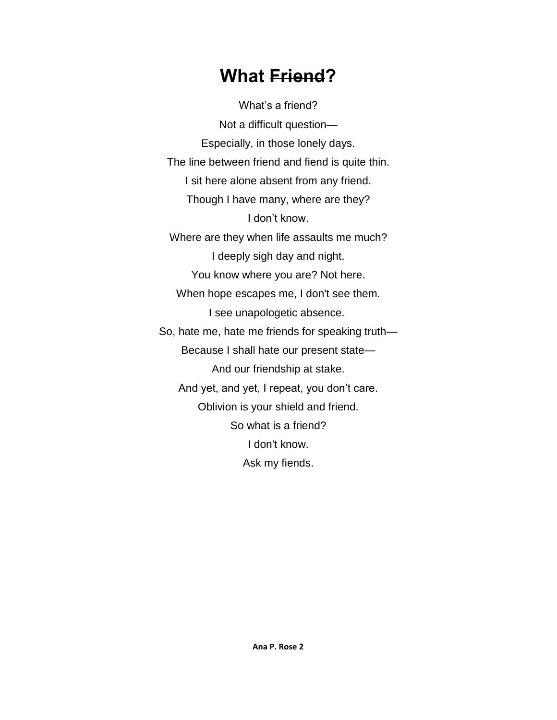#### **What Friend?**

What's a friend? Not a difficult question— Especially, in those lonely days. The line between friend and fiend is quite thin. I sit here alone absent from any friend. Though I have many, where are they? I don't know. Where are they when life assaults me much? I deeply sigh day and night. You know where you are? Not here. When hope escapes me, I don't see them. I see unapologetic absence. So, hate me, hate me friends for speaking truth— Because I shall hate our present state— And our friendship at stake. And yet, and yet, I repeat, you don't care. Oblivion is your shield and friend. So what is a friend? I don't know. Ask my fiends.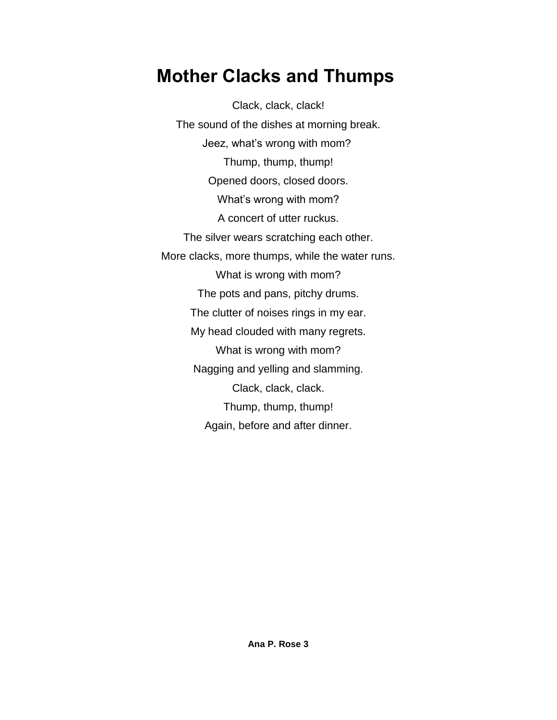### **Mother Clacks and Thumps**

Clack, clack, clack! The sound of the dishes at morning break. Jeez, what's wrong with mom? Thump, thump, thump! Opened doors, closed doors. What's wrong with mom? A concert of utter ruckus. The silver wears scratching each other. More clacks, more thumps, while the water runs. What is wrong with mom? The pots and pans, pitchy drums. The clutter of noises rings in my ear. My head clouded with many regrets. What is wrong with mom? Nagging and yelling and slamming. Clack, clack, clack. Thump, thump, thump! Again, before and after dinner.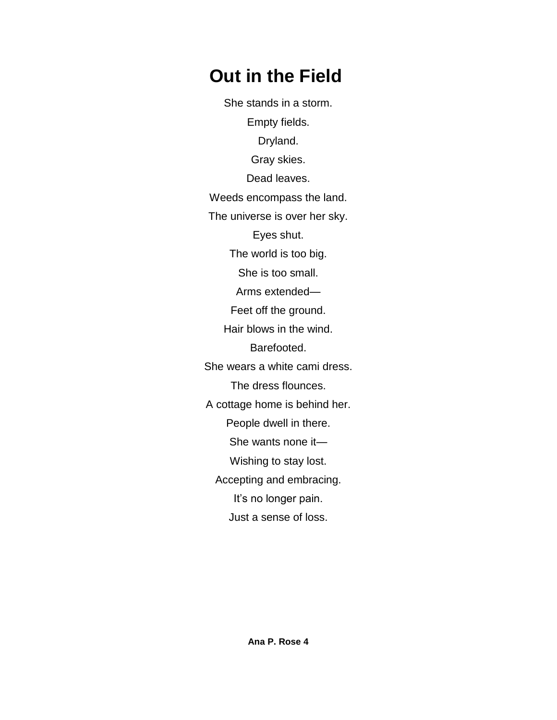## **Out in the Field**

She stands in a storm. Empty fields. Dryland. Gray skies. Dead leaves. Weeds encompass the land. The universe is over her sky. Eyes shut. The world is too big. She is too small. Arms extended— Feet off the ground. Hair blows in the wind. Barefooted. She wears a white cami dress. The dress flounces. A cottage home is behind her. People dwell in there. She wants none it— Wishing to stay lost. Accepting and embracing. It's no longer pain. Just a sense of loss.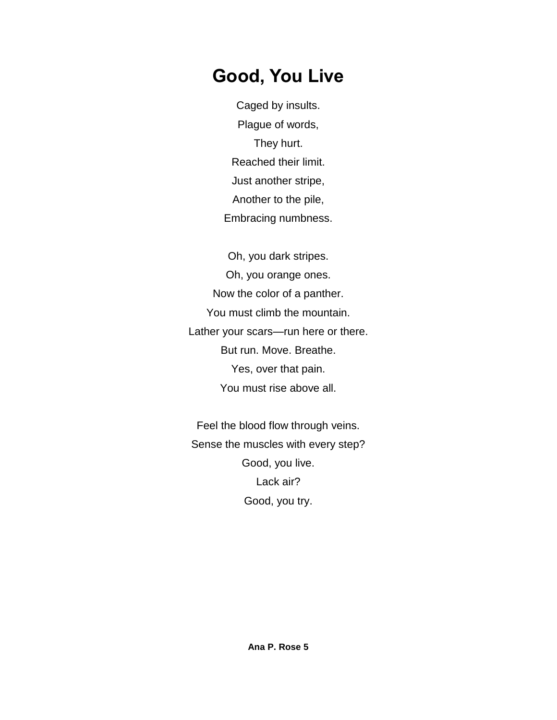#### **Good, You Live**

Caged by insults. Plague of words, They hurt. Reached their limit. Just another stripe, Another to the pile, Embracing numbness.

Oh, you dark stripes. Oh, you orange ones. Now the color of a panther. You must climb the mountain. Lather your scars—run here or there. But run. Move. Breathe. Yes, over that pain. You must rise above all.

Feel the blood flow through veins. Sense the muscles with every step? Good, you live. Lack air? Good, you try.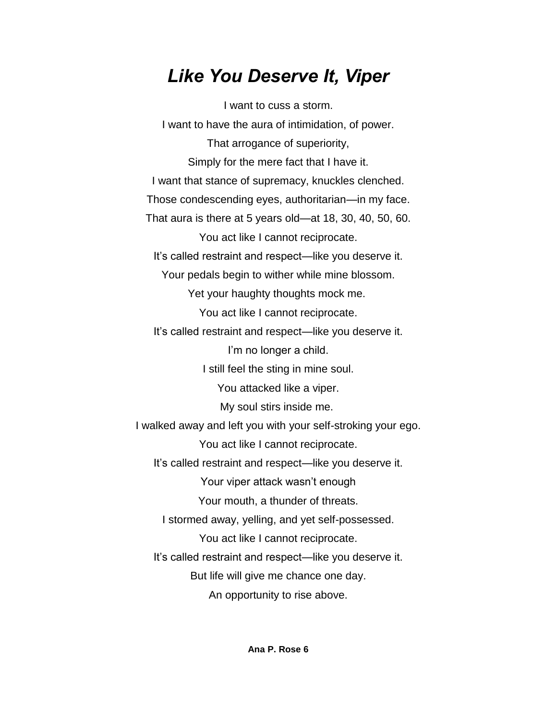#### *Like You Deserve It, Viper*

I want to cuss a storm. I want to have the aura of intimidation, of power. That arrogance of superiority, Simply for the mere fact that I have it. I want that stance of supremacy, knuckles clenched. Those condescending eyes, authoritarian—in my face. That aura is there at 5 years old—at 18, 30, 40, 50, 60. You act like I cannot reciprocate. It's called restraint and respect—like you deserve it. Your pedals begin to wither while mine blossom. Yet your haughty thoughts mock me. You act like I cannot reciprocate. It's called restraint and respect—like you deserve it. I'm no longer a child. I still feel the sting in mine soul. You attacked like a viper. My soul stirs inside me. I walked away and left you with your self-stroking your ego. You act like I cannot reciprocate. It's called restraint and respect—like you deserve it. Your viper attack wasn't enough Your mouth, a thunder of threats. I stormed away, yelling, and yet self-possessed. You act like I cannot reciprocate. It's called restraint and respect—like you deserve it. But life will give me chance one day. An opportunity to rise above.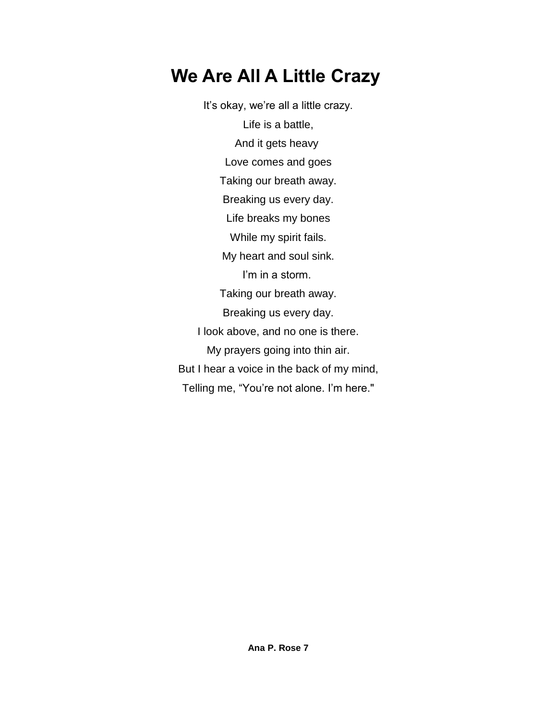## **We Are All A Little Crazy**

It's okay, we're all a little crazy. Life is a battle, And it gets heavy Love comes and goes Taking our breath away. Breaking us every day. Life breaks my bones While my spirit fails. My heart and soul sink. I'm in a storm. Taking our breath away. Breaking us every day. I look above, and no one is there. My prayers going into thin air. But I hear a voice in the back of my mind, Telling me, "You're not alone. I'm here."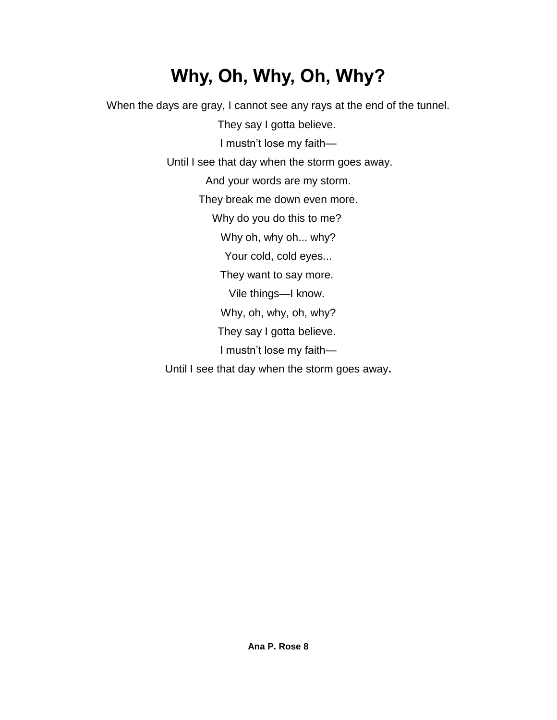# **Why, Oh, Why, Oh, Why?**

When the days are gray, I cannot see any rays at the end of the tunnel. They say I gotta believe. I mustn't lose my faith— Until I see that day when the storm goes away. And your words are my storm. They break me down even more. Why do you do this to me? Why oh, why oh... why? Your cold, cold eyes... They want to say more. Vile things—I know. Why, oh, why, oh, why? They say I gotta believe. I mustn't lose my faith— Until I see that day when the storm goes away**.**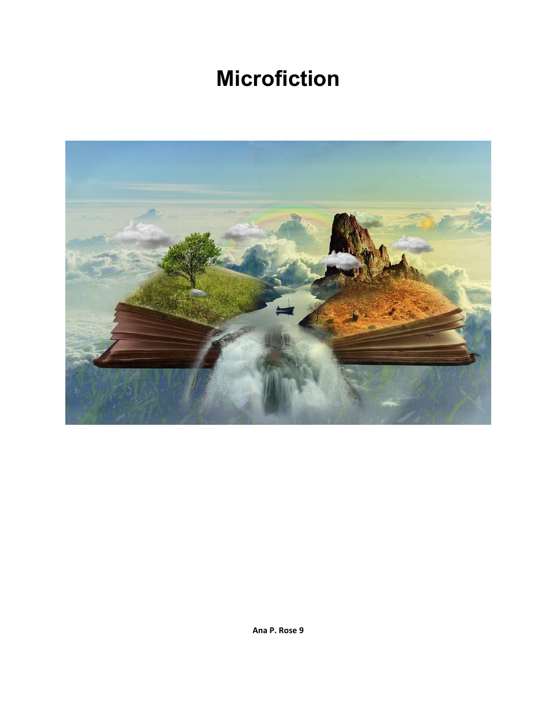# **Microfiction**

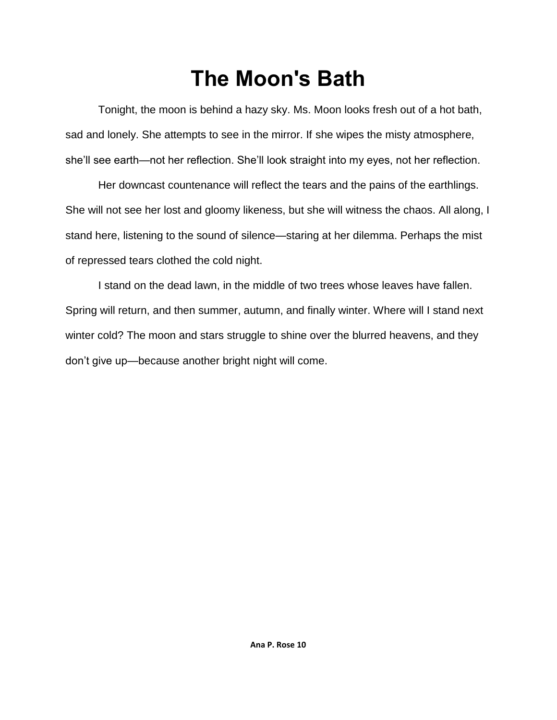# **The Moon's Bath**

Tonight, the moon is behind a hazy sky. Ms. Moon looks fresh out of a hot bath, sad and lonely. She attempts to see in the mirror. If she wipes the misty atmosphere, she'll see earth—not her reflection. She'll look straight into my eyes, not her reflection.

Her downcast countenance will reflect the tears and the pains of the earthlings. She will not see her lost and gloomy likeness, but she will witness the chaos. All along, I stand here, listening to the sound of silence—staring at her dilemma. Perhaps the mist of repressed tears clothed the cold night.

I stand on the dead lawn, in the middle of two trees whose leaves have fallen. Spring will return, and then summer, autumn, and finally winter. Where will I stand next winter cold? The moon and stars struggle to shine over the blurred heavens, and they don't give up—because another bright night will come.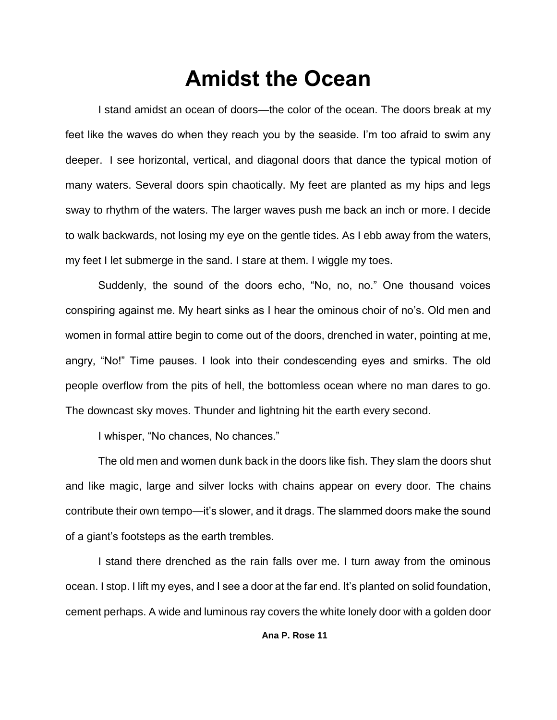## **Amidst the Ocean**

I stand amidst an ocean of doors—the color of the ocean. The doors break at my feet like the waves do when they reach you by the seaside. I'm too afraid to swim any deeper. I see horizontal, vertical, and diagonal doors that dance the typical motion of many waters. Several doors spin chaotically. My feet are planted as my hips and legs sway to rhythm of the waters. The larger waves push me back an inch or more. I decide to walk backwards, not losing my eye on the gentle tides. As I ebb away from the waters, my feet I let submerge in the sand. I stare at them. I wiggle my toes.

Suddenly, the sound of the doors echo, "No, no, no." One thousand voices conspiring against me. My heart sinks as I hear the ominous choir of no's. Old men and women in formal attire begin to come out of the doors, drenched in water, pointing at me, angry, "No!" Time pauses. I look into their condescending eyes and smirks. The old people overflow from the pits of hell, the bottomless ocean where no man dares to go. The downcast sky moves. Thunder and lightning hit the earth every second.

I whisper, "No chances, No chances."

The old men and women dunk back in the doors like fish. They slam the doors shut and like magic, large and silver locks with chains appear on every door. The chains contribute their own tempo—it's slower, and it drags. The slammed doors make the sound of a giant's footsteps as the earth trembles.

I stand there drenched as the rain falls over me. I turn away from the ominous ocean. I stop. I lift my eyes, and I see a door at the far end. It's planted on solid foundation, cement perhaps. A wide and luminous ray covers the white lonely door with a golden door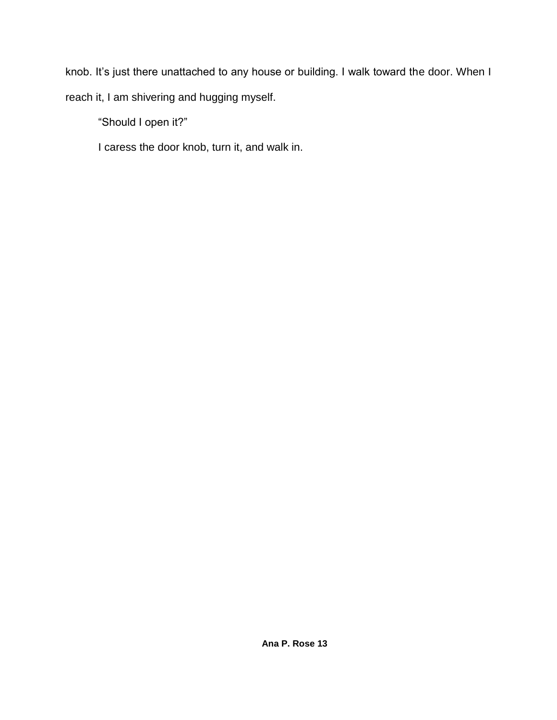knob. It's just there unattached to any house or building. I walk toward the door. When I reach it, I am shivering and hugging myself.

"Should I open it?"

I caress the door knob, turn it, and walk in.